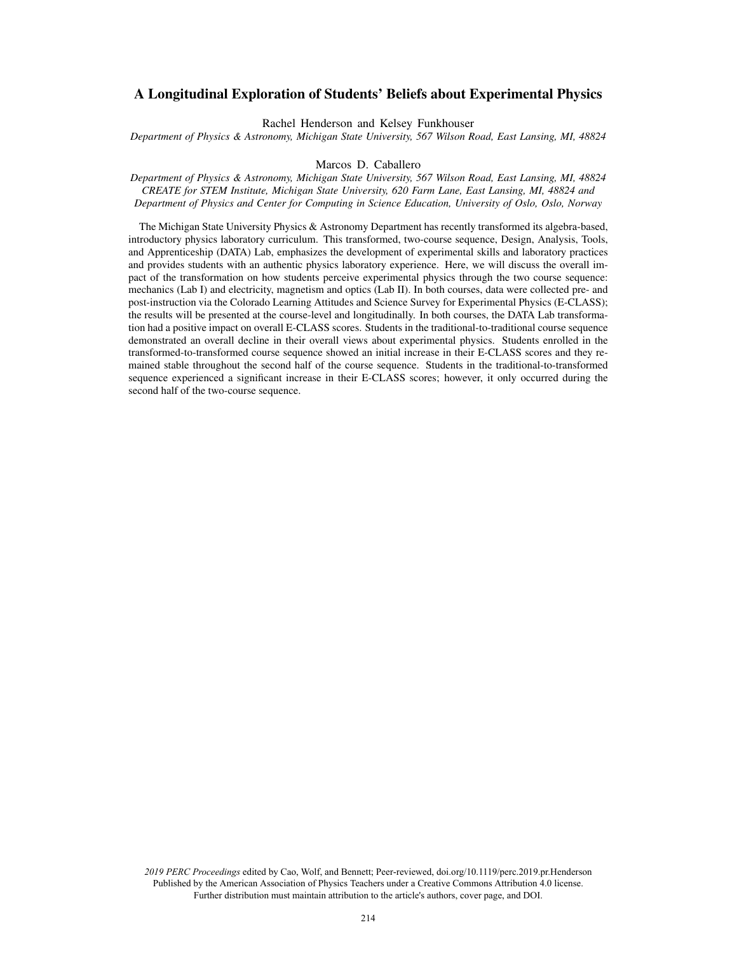# A Longitudinal Exploration of Students' Beliefs about Experimental Physics

Rachel Henderson and Kelsey Funkhouser

*Department of Physics & Astronomy, Michigan State University, 567 Wilson Road, East Lansing, MI, 48824*

## Marcos D. Caballero

*Department of Physics & Astronomy, Michigan State University, 567 Wilson Road, East Lansing, MI, 48824 CREATE for STEM Institute, Michigan State University, 620 Farm Lane, East Lansing, MI, 48824 and Department of Physics and Center for Computing in Science Education, University of Oslo, Oslo, Norway*

The Michigan State University Physics & Astronomy Department has recently transformed its algebra-based, introductory physics laboratory curriculum. This transformed, two-course sequence, Design, Analysis, Tools, and Apprenticeship (DATA) Lab, emphasizes the development of experimental skills and laboratory practices and provides students with an authentic physics laboratory experience. Here, we will discuss the overall impact of the transformation on how students perceive experimental physics through the two course sequence: mechanics (Lab I) and electricity, magnetism and optics (Lab II). In both courses, data were collected pre- and post-instruction via the Colorado Learning Attitudes and Science Survey for Experimental Physics (E-CLASS); the results will be presented at the course-level and longitudinally. In both courses, the DATA Lab transformation had a positive impact on overall E-CLASS scores. Students in the traditional-to-traditional course sequence demonstrated an overall decline in their overall views about experimental physics. Students enrolled in the transformed-to-transformed course sequence showed an initial increase in their E-CLASS scores and they remained stable throughout the second half of the course sequence. Students in the traditional-to-transformed sequence experienced a significant increase in their E-CLASS scores; however, it only occurred during the second half of the two-course sequence.

*2019 PERC Proceedings* edited by Cao, Wolf, and Bennett; Peer-reviewed, doi.org/10.1119/perc.2019.pr.Henderson Published by the American Association of Physics Teachers under a Creative Commons Attribution 4.0 license. Further distribution must maintain attribution to the article's authors, cover page, and DOI.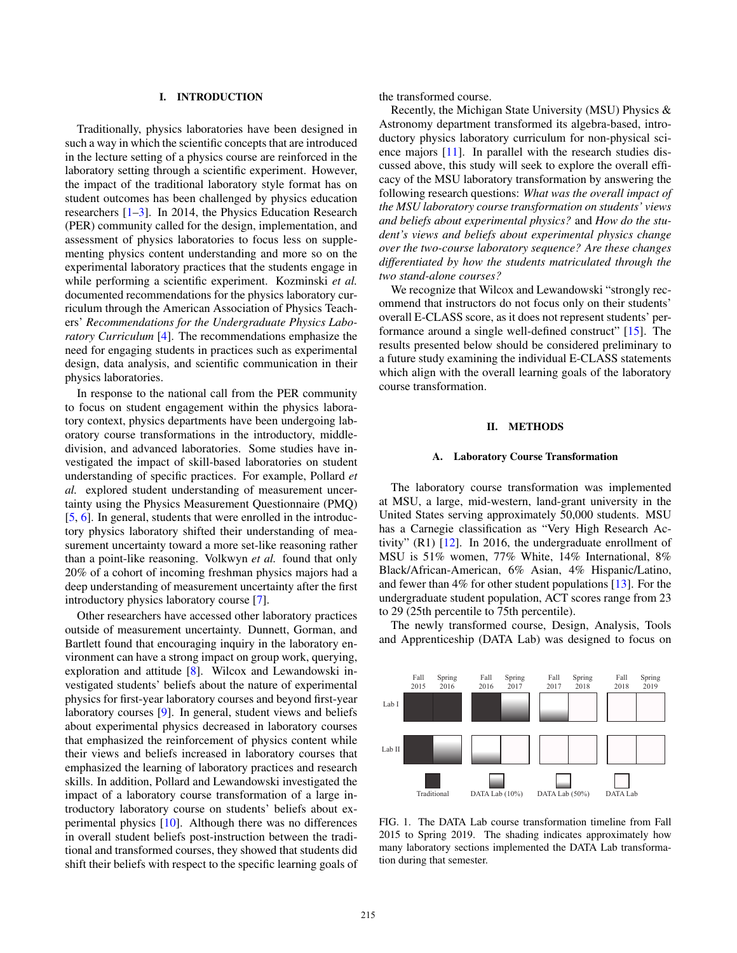## I. INTRODUCTION

Traditionally, physics laboratories have been designed in such a way in which the scientific concepts that are introduced in the lecture setting of a physics course are reinforced in the laboratory setting through a scientific experiment. However, the impact of the traditional laboratory style format has on student outcomes has been challenged by physics education researchers [1–3]. In 2014, the Physics Education Research (PER) community called for the design, implementation, and assessment of physics laboratories to focus less on supplementing physics content understanding and more so on the experimental laboratory practices that the students engage in while performing a scientific experiment. Kozminski *et al.* documented recommendations for the physics laboratory curriculum through the American Association of Physics Teachers' *Recommendations for the Undergraduate Physics Laboratory Curriculum* [4]. The recommendations emphasize the need for engaging students in practices such as experimental design, data analysis, and scientific communication in their physics laboratories.

In response to the national call from the PER community to focus on student engagement within the physics laboratory context, physics departments have been undergoing laboratory course transformations in the introductory, middledivision, and advanced laboratories. Some studies have investigated the impact of skill-based laboratories on student understanding of specific practices. For example, Pollard *et al.* explored student understanding of measurement uncertainty using the Physics Measurement Questionnaire (PMQ) [5, 6]. In general, students that were enrolled in the introductory physics laboratory shifted their understanding of measurement uncertainty toward a more set-like reasoning rather than a point-like reasoning. Volkwyn *et al.* found that only 20% of a cohort of incoming freshman physics majors had a deep understanding of measurement uncertainty after the first introductory physics laboratory course [7].

Other researchers have accessed other laboratory practices outside of measurement uncertainty. Dunnett, Gorman, and Bartlett found that encouraging inquiry in the laboratory environment can have a strong impact on group work, querying, exploration and attitude [8]. Wilcox and Lewandowski investigated students' beliefs about the nature of experimental physics for first-year laboratory courses and beyond first-year laboratory courses [9]. In general, student views and beliefs about experimental physics decreased in laboratory courses that emphasized the reinforcement of physics content while their views and beliefs increased in laboratory courses that emphasized the learning of laboratory practices and research skills. In addition, Pollard and Lewandowski investigated the impact of a laboratory course transformation of a large introductory laboratory course on students' beliefs about experimental physics [10]. Although there was no differences in overall student beliefs post-instruction between the traditional and transformed courses, they showed that students did shift their beliefs with respect to the specific learning goals of the transformed course.

Recently, the Michigan State University (MSU) Physics & Astronomy department transformed its algebra-based, introductory physics laboratory curriculum for non-physical science majors [11]. In parallel with the research studies discussed above, this study will seek to explore the overall efficacy of the MSU laboratory transformation by answering the following research questions: *What was the overall impact of the MSU laboratory course transformation on students' views and beliefs about experimental physics?* and *How do the student's views and beliefs about experimental physics change over the two-course laboratory sequence? Are these changes differentiated by how the students matriculated through the two stand-alone courses?*

We recognize that Wilcox and Lewandowski "strongly recommend that instructors do not focus only on their students' overall E-CLASS score, as it does not represent students' performance around a single well-defined construct" [15]. The results presented below should be considered preliminary to a future study examining the individual E-CLASS statements which align with the overall learning goals of the laboratory course transformation.

# II. METHODS

#### A. Laboratory Course Transformation

The laboratory course transformation was implemented at MSU, a large, mid-western, land-grant university in the United States serving approximately 50,000 students. MSU has a Carnegie classification as "Very High Research Activity" (R1) [12]. In 2016, the undergraduate enrollment of MSU is 51% women, 77% White, 14% International, 8% Black/African-American, 6% Asian, 4% Hispanic/Latino, and fewer than 4% for other student populations [13]. For the undergraduate student population, ACT scores range from 23 to 29 (25th percentile to 75th percentile).

The newly transformed course, Design, Analysis, Tools and Apprenticeship (DATA Lab) was designed to focus on



FIG. 1. The DATA Lab course transformation timeline from Fall 2015 to Spring 2019. The shading indicates approximately how many laboratory sections implemented the DATA Lab transformation during that semester.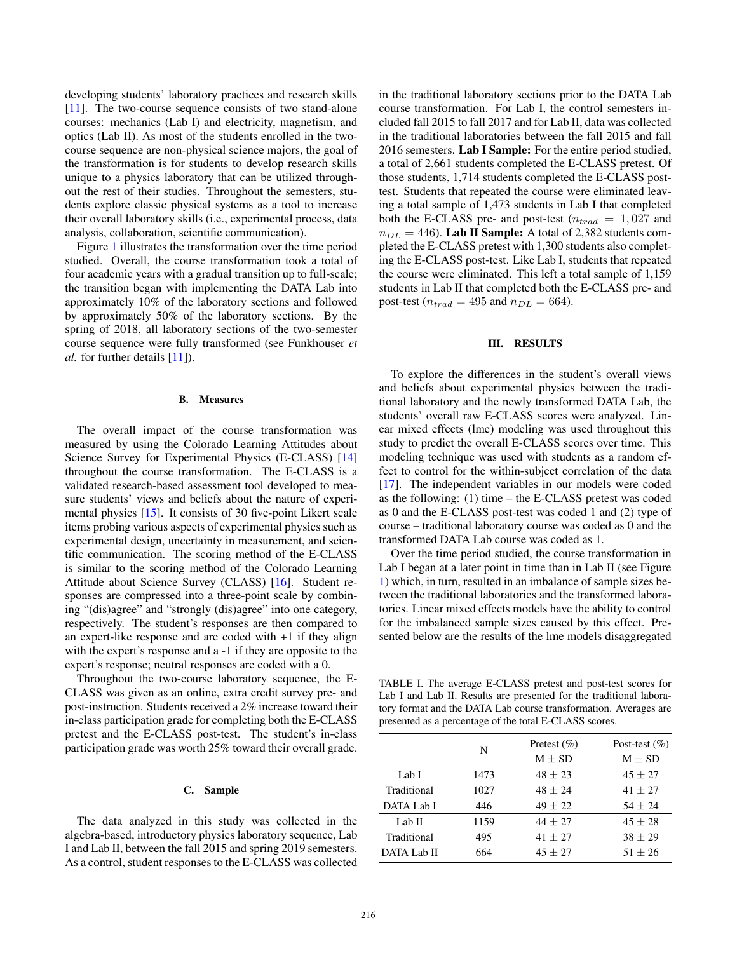developing students' laboratory practices and research skills [11]. The two-course sequence consists of two stand-alone courses: mechanics (Lab I) and electricity, magnetism, and optics (Lab II). As most of the students enrolled in the twocourse sequence are non-physical science majors, the goal of the transformation is for students to develop research skills unique to a physics laboratory that can be utilized throughout the rest of their studies. Throughout the semesters, students explore classic physical systems as a tool to increase their overall laboratory skills (i.e., experimental process, data analysis, collaboration, scientific communication).

Figure 1 illustrates the transformation over the time period studied. Overall, the course transformation took a total of four academic years with a gradual transition up to full-scale; the transition began with implementing the DATA Lab into approximately 10% of the laboratory sections and followed by approximately 50% of the laboratory sections. By the spring of 2018, all laboratory sections of the two-semester course sequence were fully transformed (see Funkhouser *et al.* for further details [11]).

#### B. Measures

The overall impact of the course transformation was measured by using the Colorado Learning Attitudes about Science Survey for Experimental Physics (E-CLASS) [14] throughout the course transformation. The E-CLASS is a validated research-based assessment tool developed to measure students' views and beliefs about the nature of experimental physics [15]. It consists of 30 five-point Likert scale items probing various aspects of experimental physics such as experimental design, uncertainty in measurement, and scientific communication. The scoring method of the E-CLASS is similar to the scoring method of the Colorado Learning Attitude about Science Survey (CLASS) [16]. Student responses are compressed into a three-point scale by combining "(dis)agree" and "strongly (dis)agree" into one category, respectively. The student's responses are then compared to an expert-like response and are coded with +1 if they align with the expert's response and a -1 if they are opposite to the expert's response; neutral responses are coded with a 0.

Throughout the two-course laboratory sequence, the E-CLASS was given as an online, extra credit survey pre- and post-instruction. Students received a 2% increase toward their in-class participation grade for completing both the E-CLASS pretest and the E-CLASS post-test. The student's in-class participation grade was worth 25% toward their overall grade.

#### C. Sample

The data analyzed in this study was collected in the algebra-based, introductory physics laboratory sequence, Lab I and Lab II, between the fall 2015 and spring 2019 semesters. As a control, student responses to the E-CLASS was collected in the traditional laboratory sections prior to the DATA Lab course transformation. For Lab I, the control semesters included fall 2015 to fall 2017 and for Lab II, data was collected in the traditional laboratories between the fall 2015 and fall 2016 semesters. Lab I Sample: For the entire period studied, a total of 2,661 students completed the E-CLASS pretest. Of those students, 1,714 students completed the E-CLASS posttest. Students that repeated the course were eliminated leaving a total sample of 1,473 students in Lab I that completed both the E-CLASS pre- and post-test ( $n_{trad} = 1,027$  and  $n_{DL} = 446$ ). Lab II Sample: A total of 2,382 students completed the E-CLASS pretest with 1,300 students also completing the E-CLASS post-test. Like Lab I, students that repeated the course were eliminated. This left a total sample of 1,159 students in Lab II that completed both the E-CLASS pre- and post-test ( $n_{trad} = 495$  and  $n_{DL} = 664$ ).

## III. RESULTS

To explore the differences in the student's overall views and beliefs about experimental physics between the traditional laboratory and the newly transformed DATA Lab, the students' overall raw E-CLASS scores were analyzed. Linear mixed effects (lme) modeling was used throughout this study to predict the overall E-CLASS scores over time. This modeling technique was used with students as a random effect to control for the within-subject correlation of the data [17]. The independent variables in our models were coded as the following: (1) time – the E-CLASS pretest was coded as 0 and the E-CLASS post-test was coded 1 and (2) type of course – traditional laboratory course was coded as 0 and the transformed DATA Lab course was coded as 1.

Over the time period studied, the course transformation in Lab I began at a later point in time than in Lab II (see Figure 1) which, in turn, resulted in an imbalance of sample sizes between the traditional laboratories and the transformed laboratories. Linear mixed effects models have the ability to control for the imbalanced sample sizes caused by this effect. Presented below are the results of the lme models disaggregated

TABLE I. The average E-CLASS pretest and post-test scores for Lab I and Lab II. Results are presented for the traditional laboratory format and the DATA Lab course transformation. Averages are presented as a percentage of the total E-CLASS scores.

|             | N    | Pretest $(\% )$ | Post-test $(\% )$ |  |
|-------------|------|-----------------|-------------------|--|
|             |      | $M + SD$        | $M + SD$          |  |
| Lab I       | 1473 | $48 + 23$       | $45 + 27$         |  |
| Traditional | 1027 | $48 + 24$       | $41 + 27$         |  |
| DATA Lab I  | 446  | $49 + 22$       | $54 + 24$         |  |
| Lab II      | 1159 | $44 + 27$       | $45 + 28$         |  |
| Traditional | 495  | $41 + 27$       | $38 \pm 29$       |  |
| DATA Lab II | 664  | $45 + 27$       | $51 + 26$         |  |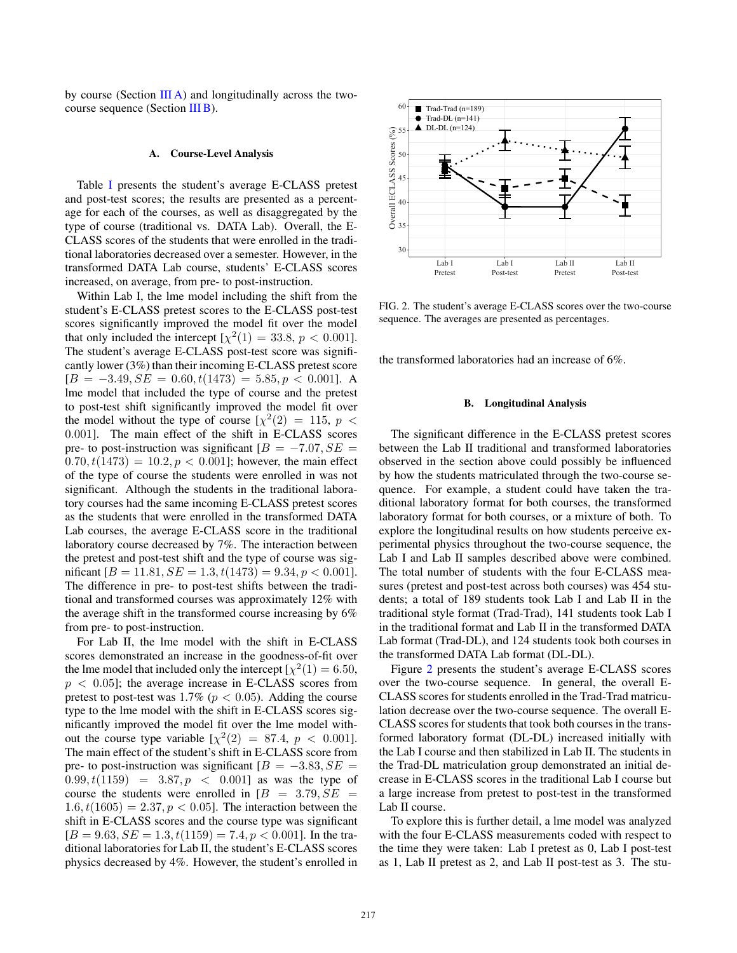by course (Section  $III A$ ) and longitudinally across the twocourse sequence (Section [III B\)](#page-3-1).

#### <span id="page-3-0"></span>A. Course-Level Analysis

Table I presents the student's average E-CLASS pretest and post-test scores; the results are presented as a percentage for each of the courses, as well as disaggregated by the type of course (traditional vs. DATA Lab). Overall, the E-CLASS scores of the students that were enrolled in the traditional laboratories decreased over a semester. However, in the transformed DATA Lab course, students' E-CLASS scores increased, on average, from pre- to post-instruction.

Within Lab I, the lme model including the shift from the student's E-CLASS pretest scores to the E-CLASS post-test scores significantly improved the model fit over the model that only included the intercept  $[\chi^2(1) = 33.8, p < 0.001]$ . The student's average E-CLASS post-test score was significantly lower (3%) than their incoming E-CLASS pretest score  $[B = -3.49, SE = 0.60, t(1473) = 5.85, p < 0.001]$ . A lme model that included the type of course and the pretest to post-test shift significantly improved the model fit over the model without the type of course  $[\chi^2(2) = 115, p <$ 0.001]. The main effect of the shift in E-CLASS scores pre- to post-instruction was significant  $[B = -7.07, SE =$  $(0.70, t(1473) = 10.2, p < 0.001]$ ; however, the main effect of the type of course the students were enrolled in was not significant. Although the students in the traditional laboratory courses had the same incoming E-CLASS pretest scores as the students that were enrolled in the transformed DATA Lab courses, the average E-CLASS score in the traditional laboratory course decreased by 7%. The interaction between the pretest and post-test shift and the type of course was significant  $[B = 11.81, SE = 1.3, t(1473) = 9.34, p < 0.001]$ . The difference in pre- to post-test shifts between the traditional and transformed courses was approximately 12% with the average shift in the transformed course increasing by 6% from pre- to post-instruction.

For Lab II, the lme model with the shift in E-CLASS scores demonstrated an increase in the goodness-of-fit over the lme model that included only the intercept [ $\chi^2(1) = 6.50$ ,  $p < 0.05$ ; the average increase in E-CLASS scores from pretest to post-test was 1.7% ( $p < 0.05$ ). Adding the course type to the lme model with the shift in E-CLASS scores significantly improved the model fit over the lme model without the course type variable  $[\chi^2(2) = 87.4, p < 0.001]$ . The main effect of the student's shift in E-CLASS score from pre- to post-instruction was significant  $[B = -3.83, SE =$  $(0.99, t(1159) = 3.87, p < 0.001$  as was the type of course the students were enrolled in  $[B = 3.79, SE =$  $1.6, t(1605) = 2.37, p < 0.05$ . The interaction between the shift in E-CLASS scores and the course type was significant  $[B = 9.63, SE = 1.3, t(1159) = 7.4, p < 0.001]$ . In the traditional laboratories for Lab II, the student's E-CLASS scores physics decreased by 4%. However, the student's enrolled in



<span id="page-3-2"></span>FIG. 2. The student's average E-CLASS scores over the two-course sequence. The averages are presented as percentages.

the transformed laboratories had an increase of 6%.

# <span id="page-3-1"></span>B. Longitudinal Analysis

The significant difference in the E-CLASS pretest scores between the Lab II traditional and transformed laboratories observed in the section above could possibly be influenced by how the students matriculated through the two-course sequence. For example, a student could have taken the traditional laboratory format for both courses, the transformed laboratory format for both courses, or a mixture of both. To explore the longitudinal results on how students perceive experimental physics throughout the two-course sequence, the Lab I and Lab II samples described above were combined. The total number of students with the four E-CLASS measures (pretest and post-test across both courses) was 454 students; a total of 189 students took Lab I and Lab II in the traditional style format (Trad-Trad), 141 students took Lab I in the traditional format and Lab II in the transformed DATA Lab format (Trad-DL), and 124 students took both courses in the transformed DATA Lab format (DL-DL).

Figure [2](#page-3-2) presents the student's average E-CLASS scores over the two-course sequence. In general, the overall E-CLASS scores for students enrolled in the Trad-Trad matriculation decrease over the two-course sequence. The overall E-CLASS scores for students that took both courses in the transformed laboratory format (DL-DL) increased initially with the Lab I course and then stabilized in Lab II. The students in the Trad-DL matriculation group demonstrated an initial decrease in E-CLASS scores in the traditional Lab I course but a large increase from pretest to post-test in the transformed Lab II course.

To explore this is further detail, a lme model was analyzed with the four E-CLASS measurements coded with respect to the time they were taken: Lab I pretest as 0, Lab I post-test as 1, Lab II pretest as 2, and Lab II post-test as 3. The stu-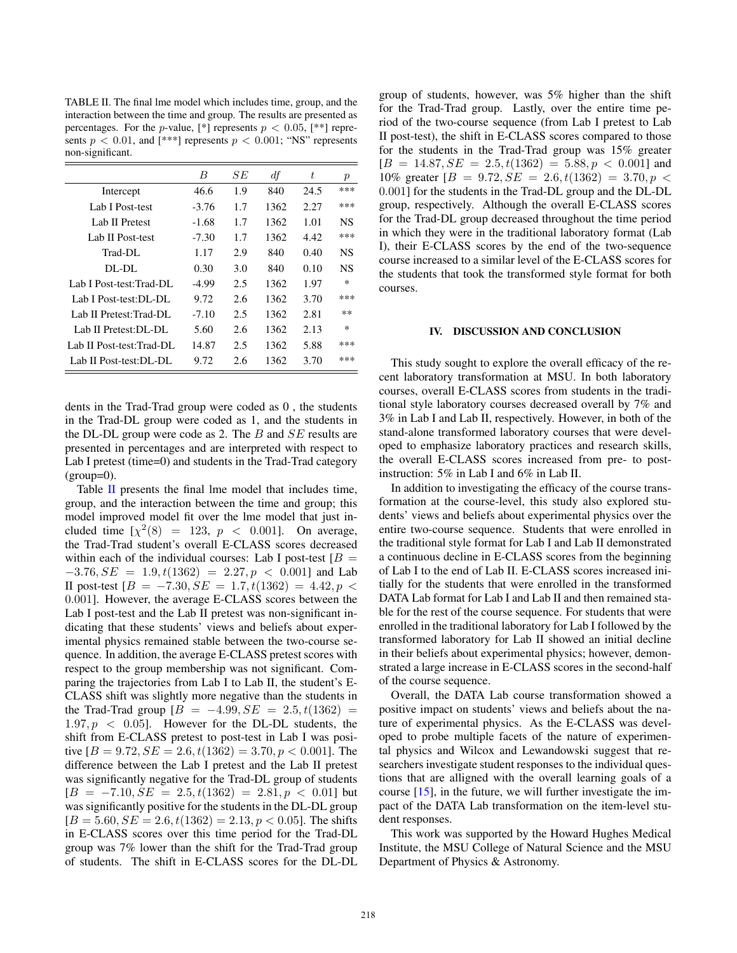<span id="page-4-0"></span>TABLE II. The final lme model which includes time, group, and the interaction between the time and group. The results are presented as percentages. For the *p*-value,  $[*]$  represents  $p < 0.05$ ,  $[**]$  represents  $p < 0.01$ , and [\*\*\*] represents  $p < 0.001$ ; "NS" represents non-significant.

|                           | B       | SЕ  | $\mathbb{d}$ f | t    | р         |
|---------------------------|---------|-----|----------------|------|-----------|
| Intercept                 | 46.6    | 1.9 | 840            | 24.5 | ***       |
| Lab I Post-test           | $-3.76$ | 1.7 | 1362           | 2.27 | ***       |
| Lab II Pretest            | -1.68   | 1.7 | 1362           | 1.01 | NS        |
| Lab II Post-test          | $-7.30$ | 1.7 | 1362           | 4.42 | ***       |
| Trad-DL                   | 1.17    | 2.9 | 840            | 0.40 | NS        |
| $DI$ - $DI$ .             | 0.30    | 3.0 | 840            | 0.10 | <b>NS</b> |
| Lab I Post-test:Trad-DL   | -4.99   | 2.5 | 1362           | 1.97 | $\ast$    |
| Lab I Post-test: DL-DL    | 9.72    | 2.6 | 1362           | 3.70 | ***       |
| Lab II Pretest: Trad-DL   | $-7.10$ | 2.5 | 1362           | 2.81 | $**$      |
| Lab II Pretest: DL-DL     | 5.60    | 2.6 | 1362           | 2.13 | $\ast$    |
| Lab II Post-test: Trad-DL | 14.87   | 2.5 | 1362           | 5.88 | ***       |
| Lab II Post-test:DL-DL    | 9.72    | 2.6 | 1362           | 3.70 | ***       |

dents in the Trad-Trad group were coded as 0 , the students in the Trad-DL group were coded as 1, and the students in the DL-DL group were code as 2. The  $B$  and  $SE$  results are presented in percentages and are interpreted with respect to Lab I pretest (time=0) and students in the Trad-Trad category  $(group=0)$ .

Table [II](#page-4-0) presents the final lme model that includes time, group, and the interaction between the time and group; this model improved model fit over the lme model that just included time  $[\chi^2(8) = 123, p < 0.001]$ . On average, the Trad-Trad student's overall E-CLASS scores decreased within each of the individual courses: Lab I post-test  $[B =$  $-3.76, SE = 1.9, t(1362) = 2.27, p < 0.001$  and Lab II post-test [ $B = -7.30$ ,  $SE = 1.7$ ,  $t(1362) = 4.42$ ,  $p$  < 0.001]. However, the average E-CLASS scores between the Lab I post-test and the Lab II pretest was non-significant indicating that these students' views and beliefs about experimental physics remained stable between the two-course sequence. In addition, the average E-CLASS pretest scores with respect to the group membership was not significant. Comparing the trajectories from Lab I to Lab II, the student's E-CLASS shift was slightly more negative than the students in the Trad-Trad group  $[B = -4.99, SE = 2.5, t(1362) =$  $1.97, p \leq 0.05$ . However for the DL-DL students, the shift from E-CLASS pretest to post-test in Lab I was positive  $[B = 9.72, SE = 2.6, t(1362) = 3.70, p < 0.001]$ . The difference between the Lab I pretest and the Lab II pretest was significantly negative for the Trad-DL group of students  $[B = -7.10, SE = 2.5, t(1362) = 2.81, p < 0.01]$  but was significantly positive for the students in the DL-DL group  $[B = 5.60, SE = 2.6, t(1362) = 2.13, p < 0.05]$ . The shifts in E-CLASS scores over this time period for the Trad-DL group was 7% lower than the shift for the Trad-Trad group of students. The shift in E-CLASS scores for the DL-DL group of students, however, was 5% higher than the shift for the Trad-Trad group. Lastly, over the entire time period of the two-course sequence (from Lab I pretest to Lab II post-test), the shift in E-CLASS scores compared to those for the students in the Trad-Trad group was 15% greater  $[B = 14.87, SE = 2.5, t(1362) = 5.88, p < 0.001]$  and 10% greater  $[B = 9.72, SE = 2.6, t(1362) = 3.70, p <$ 0.001] for the students in the Trad-DL group and the DL-DL group, respectively. Although the overall E-CLASS scores for the Trad-DL group decreased throughout the time period in which they were in the traditional laboratory format (Lab I), their E-CLASS scores by the end of the two-sequence course increased to a similar level of the E-CLASS scores for the students that took the transformed style format for both courses.

# IV. DISCUSSION AND CONCLUSION

This study sought to explore the overall efficacy of the recent laboratory transformation at MSU. In both laboratory courses, overall E-CLASS scores from students in the traditional style laboratory courses decreased overall by 7% and 3% in Lab I and Lab II, respectively. However, in both of the stand-alone transformed laboratory courses that were developed to emphasize laboratory practices and research skills, the overall E-CLASS scores increased from pre- to postinstruction: 5% in Lab I and 6% in Lab II.

In addition to investigating the efficacy of the course transformation at the course-level, this study also explored students' views and beliefs about experimental physics over the entire two-course sequence. Students that were enrolled in the traditional style format for Lab I and Lab II demonstrated a continuous decline in E-CLASS scores from the beginning of Lab I to the end of Lab II. E-CLASS scores increased initially for the students that were enrolled in the transformed DATA Lab format for Lab I and Lab II and then remained stable for the rest of the course sequence. For students that were enrolled in the traditional laboratory for Lab I followed by the transformed laboratory for Lab II showed an initial decline in their beliefs about experimental physics; however, demonstrated a large increase in E-CLASS scores in the second-half of the course sequence.

Overall, the DATA Lab course transformation showed a positive impact on students' views and beliefs about the nature of experimental physics. As the E-CLASS was developed to probe multiple facets of the nature of experimental physics and Wilcox and Lewandowski suggest that researchers investigate student responses to the individual questions that are alligned with the overall learning goals of a course [15], in the future, we will further investigate the impact of the DATA Lab transformation on the item-level student responses.

This work was supported by the Howard Hughes Medical Institute, the MSU College of Natural Science and the MSU Department of Physics & Astronomy.